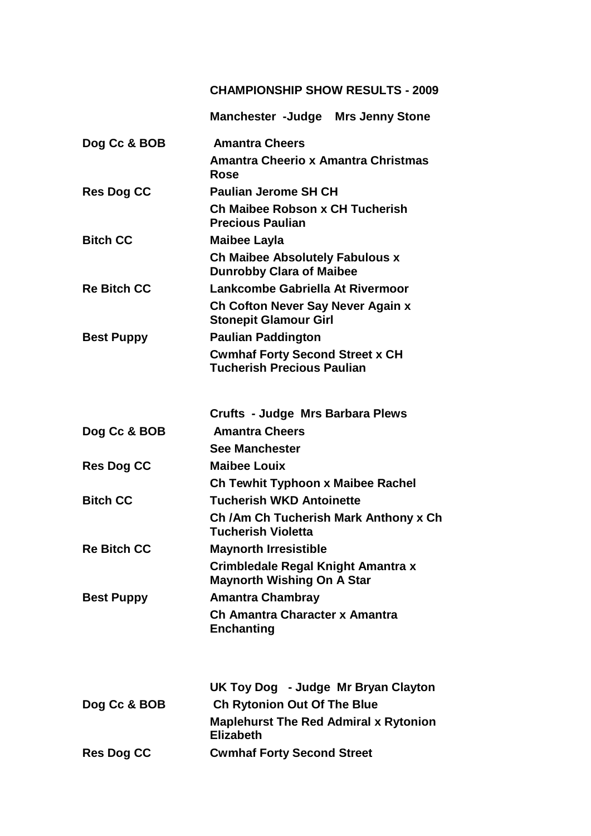## **CHAMPIONSHIP SHOW RESULTS - 2009**

|                    | <b>Manchester -Judge Mrs Jenny Stone</b>                                    |
|--------------------|-----------------------------------------------------------------------------|
| Dog Cc & BOB       | <b>Amantra Cheers</b>                                                       |
|                    | <b>Amantra Cheerio x Amantra Christmas</b><br>Rose                          |
| <b>Res Dog CC</b>  | <b>Paulian Jerome SH CH</b>                                                 |
|                    | Ch Maibee Robson x CH Tucherish<br><b>Precious Paulian</b>                  |
| <b>Bitch CC</b>    | <b>Maibee Layla</b>                                                         |
|                    | <b>Ch Maibee Absolutely Fabulous x</b><br><b>Dunrobby Clara of Maibee</b>   |
| <b>Re Bitch CC</b> | Lankcombe Gabriella At Rivermoor                                            |
|                    | Ch Cofton Never Say Never Again x<br><b>Stonepit Glamour Girl</b>           |
| <b>Best Puppy</b>  | <b>Paulian Paddington</b>                                                   |
|                    | <b>Cwmhaf Forty Second Street x CH</b><br><b>Tucherish Precious Paulian</b> |
|                    |                                                                             |
|                    | <b>Crufts - Judge Mrs Barbara Plews</b>                                     |
| Dog Cc & BOB       | <b>Amantra Cheers</b>                                                       |
|                    | <b>See Manchester</b>                                                       |
| <b>Res Dog CC</b>  | <b>Maibee Louix</b>                                                         |
| <b>Bitch CC</b>    | <b>Ch Tewhit Typhoon x Maibee Rachel</b><br><b>Tucherish WKD Antoinette</b> |
|                    |                                                                             |
|                    | Ch / Am Ch Tucherish Mark Anthony x Ch<br><b>Tucherish Violetta</b>         |
| <b>Re Bitch CC</b> | <b>Maynorth Irresistible</b>                                                |
|                    | Crimbledale Regal Knight Amantra x<br><b>Maynorth Wishing On A Star</b>     |
| <b>Best Puppy</b>  | <b>Amantra Chambray</b>                                                     |
|                    | Ch Amantra Character x Amantra<br><b>Enchanting</b>                         |
|                    |                                                                             |
|                    | UK Toy Dog - Judge Mr Bryan Clayton                                         |
| Dog Cc & BOB       | <b>Ch Rytonion Out Of The Blue</b>                                          |
|                    | <b>Maplehurst The Red Admiral x Rytonion</b><br><b>Elizabeth</b>            |
| <b>Res Dog CC</b>  | <b>Cwmhaf Forty Second Street</b>                                           |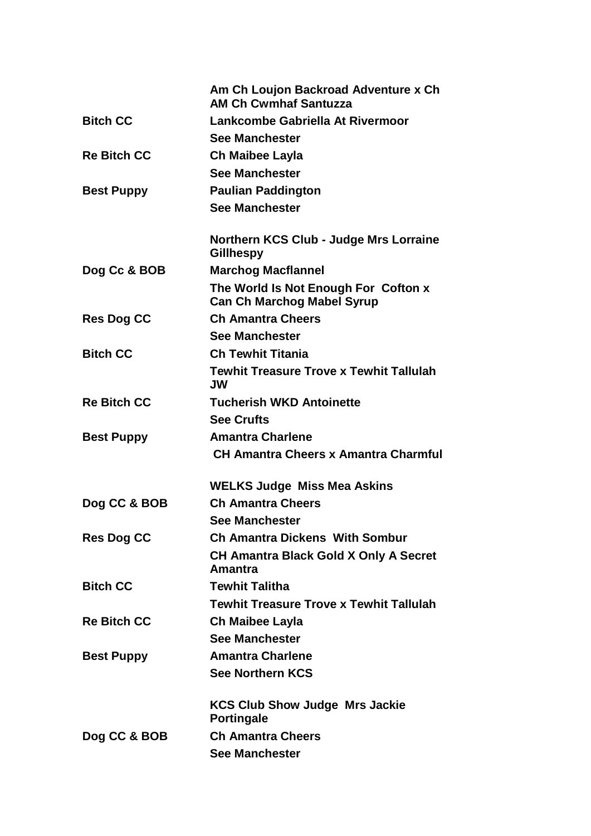|                    | Am Ch Loujon Backroad Adventure x Ch<br><b>AM Ch Cwmhaf Santuzza</b>      |
|--------------------|---------------------------------------------------------------------------|
| <b>Bitch CC</b>    | Lankcombe Gabriella At Rivermoor                                          |
|                    | <b>See Manchester</b>                                                     |
| <b>Re Bitch CC</b> | <b>Ch Maibee Layla</b>                                                    |
|                    | <b>See Manchester</b>                                                     |
| <b>Best Puppy</b>  | <b>Paulian Paddington</b>                                                 |
|                    | <b>See Manchester</b>                                                     |
|                    | <b>Northern KCS Club - Judge Mrs Lorraine</b><br><b>Gillhespy</b>         |
| Dog Cc & BOB       | <b>Marchog Macflannel</b>                                                 |
|                    | The World Is Not Enough For Cofton x<br><b>Can Ch Marchog Mabel Syrup</b> |
| <b>Res Dog CC</b>  | <b>Ch Amantra Cheers</b>                                                  |
|                    | <b>See Manchester</b>                                                     |
| <b>Bitch CC</b>    | <b>Ch Tewhit Titania</b>                                                  |
|                    | <b>Tewhit Treasure Trove x Tewhit Tallulah</b><br><b>JW</b>               |
| <b>Re Bitch CC</b> | <b>Tucherish WKD Antoinette</b>                                           |
|                    | <b>See Crufts</b>                                                         |
| <b>Best Puppy</b>  | <b>Amantra Charlene</b>                                                   |
|                    | <b>CH Amantra Cheers x Amantra Charmful</b>                               |
|                    | <b>WELKS Judge Miss Mea Askins</b>                                        |
| Dog CC & BOB       | <b>Ch Amantra Cheers</b>                                                  |
|                    | <b>See Manchester</b>                                                     |
| <b>Res Dog CC</b>  | <b>Ch Amantra Dickens With Sombur</b>                                     |
|                    | <b>CH Amantra Black Gold X Only A Secret</b><br>Amantra                   |
| <b>Bitch CC</b>    | <b>Tewhit Talitha</b>                                                     |
|                    | <b>Tewhit Treasure Trove x Tewhit Tallulah</b>                            |
| <b>Re Bitch CC</b> | Ch Maibee Layla                                                           |
|                    | <b>See Manchester</b>                                                     |
| <b>Best Puppy</b>  | <b>Amantra Charlene</b>                                                   |
|                    | <b>See Northern KCS</b>                                                   |
|                    | <b>KCS Club Show Judge Mrs Jackie</b><br><b>Portingale</b>                |
| Dog CC & BOB       | <b>Ch Amantra Cheers</b>                                                  |
|                    | <b>See Manchester</b>                                                     |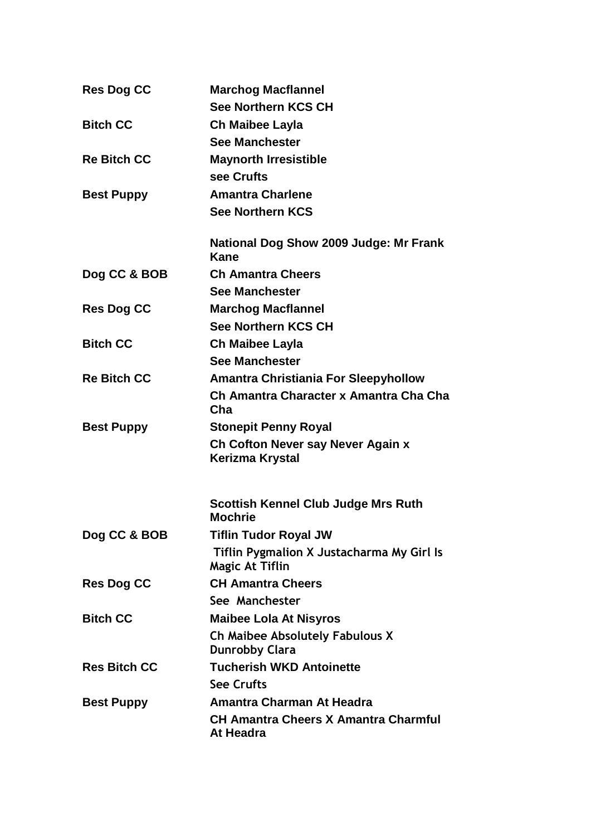| <b>Res Dog CC</b>   | <b>Marchog Macflannel</b>                                           |
|---------------------|---------------------------------------------------------------------|
|                     | <b>See Northern KCS CH</b>                                          |
| <b>Bitch CC</b>     | Ch Maibee Layla                                                     |
|                     | <b>See Manchester</b>                                               |
| <b>Re Bitch CC</b>  | <b>Maynorth Irresistible</b>                                        |
|                     | see Crufts                                                          |
| <b>Best Puppy</b>   | <b>Amantra Charlene</b>                                             |
|                     | <b>See Northern KCS</b>                                             |
|                     | National Dog Show 2009 Judge: Mr Frank<br>Kane                      |
| Dog CC & BOB        | <b>Ch Amantra Cheers</b>                                            |
|                     | <b>See Manchester</b>                                               |
| <b>Res Dog CC</b>   | <b>Marchog Macflannel</b>                                           |
|                     | <b>See Northern KCS CH</b>                                          |
| <b>Bitch CC</b>     | Ch Maibee Layla                                                     |
|                     | <b>See Manchester</b>                                               |
| <b>Re Bitch CC</b>  | <b>Amantra Christiania For Sleepyhollow</b>                         |
|                     | Ch Amantra Character x Amantra Cha Cha<br>Cha                       |
| <b>Best Puppy</b>   | <b>Stonepit Penny Royal</b>                                         |
|                     | Ch Cofton Never say Never Again x<br>Kerizma Krystal                |
|                     | <b>Scottish Kennel Club Judge Mrs Ruth</b><br><b>Mochrie</b>        |
| Dog CC & BOB        | <b>Tiflin Tudor Royal JW</b>                                        |
|                     | Tiflin Pygmalion X Justacharma My Girl Is<br><b>Magic At Tiflin</b> |
| <b>Res Dog CC</b>   | <b>CH Amantra Cheers</b>                                            |
|                     | See Manchester                                                      |
| <b>Bitch CC</b>     | <b>Maibee Lola At Nisyros</b>                                       |
|                     | <b>Ch Maibee Absolutely Fabulous X</b><br><b>Dunrobby Clara</b>     |
| <b>Res Bitch CC</b> | <b>Tucherish WKD Antoinette</b>                                     |
|                     | <b>See Crufts</b>                                                   |
| <b>Best Puppy</b>   | Amantra Charman At Headra                                           |
|                     | <b>CH Amantra Cheers X Amantra Charmful</b><br>At Headra            |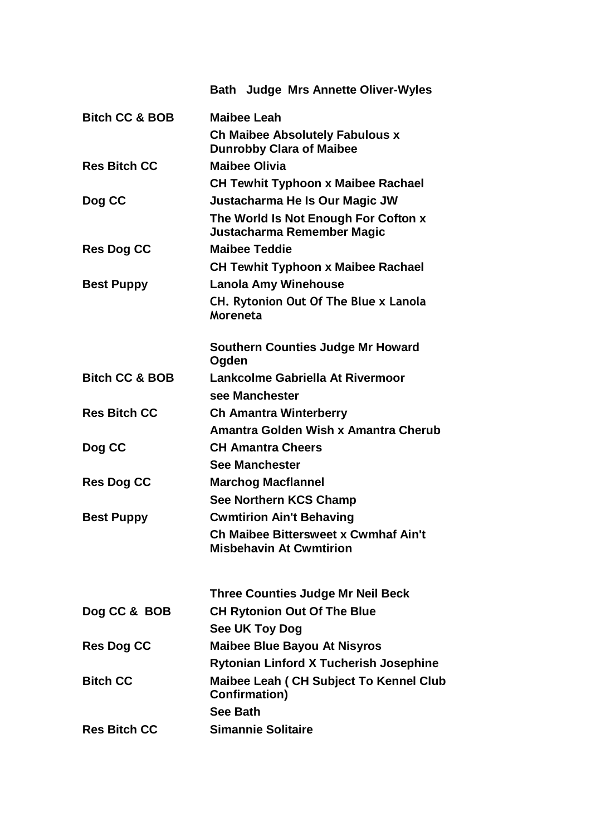|                           | <b>Bath Judge Mrs Annette Oliver-Wyles</b>                                    |
|---------------------------|-------------------------------------------------------------------------------|
| <b>Bitch CC &amp; BOB</b> | <b>Maibee Leah</b>                                                            |
|                           | <b>Ch Maibee Absolutely Fabulous x</b><br><b>Dunrobby Clara of Maibee</b>     |
| <b>Res Bitch CC</b>       | <b>Maibee Olivia</b>                                                          |
|                           |                                                                               |
|                           | <b>CH Tewhit Typhoon x Maibee Rachael</b>                                     |
| Dog CC                    | Justacharma He Is Our Magic JW                                                |
|                           | The World Is Not Enough For Cofton x<br>Justacharma Remember Magic            |
| <b>Res Dog CC</b>         | <b>Maibee Teddie</b>                                                          |
|                           | <b>CH Tewhit Typhoon x Maibee Rachael</b>                                     |
| <b>Best Puppy</b>         | <b>Lanola Amy Winehouse</b>                                                   |
|                           | CH. Rytonion Out Of The Blue x Lanola<br>Moreneta                             |
|                           | <b>Southern Counties Judge Mr Howard</b><br>Ogden                             |
| <b>Bitch CC &amp; BOB</b> | Lankcolme Gabriella At Rivermoor                                              |
|                           | see Manchester                                                                |
| <b>Res Bitch CC</b>       | <b>Ch Amantra Winterberry</b>                                                 |
|                           | Amantra Golden Wish x Amantra Cherub                                          |
| Dog CC                    | <b>CH Amantra Cheers</b>                                                      |
|                           | <b>See Manchester</b>                                                         |
| <b>Res Dog CC</b>         | <b>Marchog Macflannel</b>                                                     |
|                           | <b>See Northern KCS Champ</b>                                                 |
| <b>Best Puppy</b>         | <b>Cwmtirion Ain't Behaving</b>                                               |
|                           | <b>Ch Maibee Bittersweet x Cwmhaf Ain't</b><br><b>Misbehavin At Cwmtirion</b> |
|                           | <b>Three Counties Judge Mr Neil Beck</b>                                      |
| Dog CC & BOB              | <b>CH Rytonion Out Of The Blue</b>                                            |
|                           | See UK Toy Dog                                                                |
| <b>Res Dog CC</b>         | <b>Maibee Blue Bayou At Nisyros</b>                                           |
|                           | <b>Rytonian Linford X Tucherish Josephine</b>                                 |
| <b>Bitch CC</b>           | <b>Maibee Leah (CH Subject To Kennel Club</b><br><b>Confirmation)</b>         |
|                           | <b>See Bath</b>                                                               |
| <b>Res Bitch CC</b>       | <b>Simannie Solitaire</b>                                                     |
|                           |                                                                               |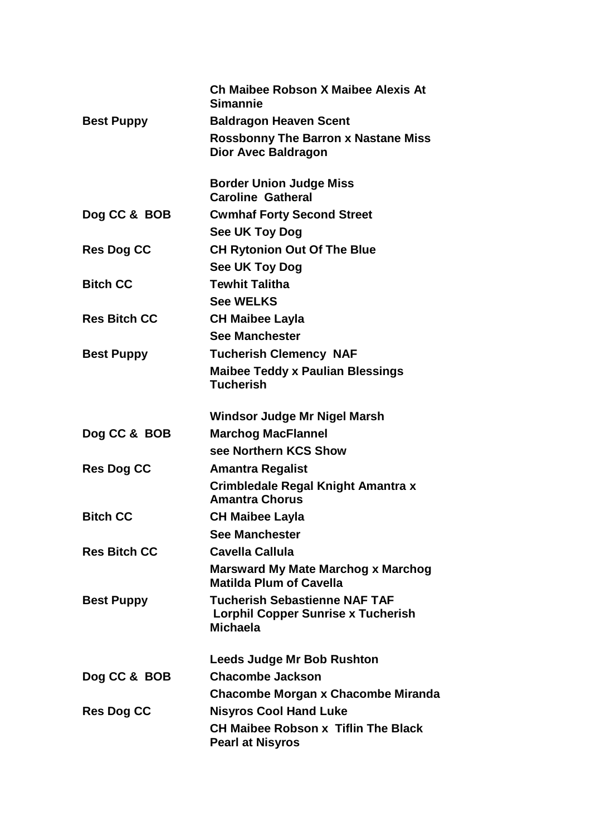|                     | Ch Maibee Robson X Maibee Alexis At<br><b>Simannie</b>                                               |
|---------------------|------------------------------------------------------------------------------------------------------|
| <b>Best Puppy</b>   | <b>Baldragon Heaven Scent</b>                                                                        |
|                     | <b>Rossbonny The Barron x Nastane Miss</b><br><b>Dior Avec Baldragon</b>                             |
|                     | <b>Border Union Judge Miss</b><br><b>Caroline Gatheral</b>                                           |
| Dog CC & BOB        | <b>Cwmhaf Forty Second Street</b>                                                                    |
|                     | See UK Toy Dog                                                                                       |
| <b>Res Dog CC</b>   | <b>CH Rytonion Out Of The Blue</b>                                                                   |
|                     | See UK Toy Dog                                                                                       |
| <b>Bitch CC</b>     | <b>Tewhit Talitha</b>                                                                                |
|                     | <b>See WELKS</b>                                                                                     |
| <b>Res Bitch CC</b> | <b>CH Maibee Layla</b>                                                                               |
|                     | <b>See Manchester</b>                                                                                |
| <b>Best Puppy</b>   | <b>Tucherish Clemency NAF</b>                                                                        |
|                     | <b>Maibee Teddy x Paulian Blessings</b><br><b>Tucherish</b>                                          |
|                     | Windsor Judge Mr Nigel Marsh                                                                         |
| Dog CC & BOB        | <b>Marchog MacFlannel</b>                                                                            |
|                     | see Northern KCS Show                                                                                |
| <b>Res Dog CC</b>   | <b>Amantra Regalist</b>                                                                              |
|                     | Crimbledale Regal Knight Amantra x<br><b>Amantra Chorus</b>                                          |
| <b>Bitch CC</b>     | <b>CH Maibee Layla</b>                                                                               |
|                     | <b>See Manchester</b>                                                                                |
| <b>Res Bitch CC</b> | Cavella Callula                                                                                      |
|                     | <b>Marsward My Mate Marchog x Marchog</b><br><b>Matilda Plum of Cavella</b>                          |
| <b>Best Puppy</b>   | <b>Tucherish Sebastienne NAF TAF</b><br><b>Lorphil Copper Sunrise x Tucherish</b><br><b>Michaela</b> |
|                     | <b>Leeds Judge Mr Bob Rushton</b>                                                                    |
| Dog CC & BOB        | <b>Chacombe Jackson</b>                                                                              |
|                     | Chacombe Morgan x Chacombe Miranda                                                                   |
| <b>Res Dog CC</b>   | <b>Nisyros Cool Hand Luke</b>                                                                        |
|                     | <b>CH Maibee Robson x Tiflin The Black</b><br><b>Pearl at Nisyros</b>                                |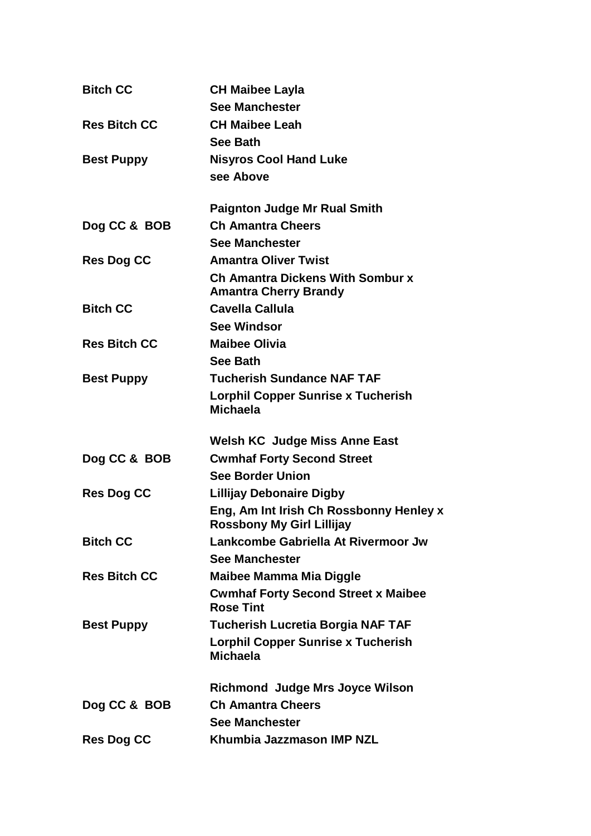| <b>CH Maibee Layla</b><br><b>See Manchester</b>                         |
|-------------------------------------------------------------------------|
| <b>CH Maibee Leah</b>                                                   |
| <b>See Bath</b>                                                         |
| <b>Nisyros Cool Hand Luke</b>                                           |
| see Above                                                               |
|                                                                         |
| <b>Paignton Judge Mr Rual Smith</b>                                     |
| <b>Ch Amantra Cheers</b>                                                |
| <b>See Manchester</b>                                                   |
| <b>Amantra Oliver Twist</b>                                             |
| <b>Ch Amantra Dickens With Sombur x</b><br><b>Amantra Cherry Brandy</b> |
| <b>Cavella Callula</b>                                                  |
| <b>See Windsor</b>                                                      |
| <b>Maibee Olivia</b>                                                    |
| <b>See Bath</b>                                                         |
| <b>Tucherish Sundance NAF TAF</b>                                       |
| <b>Lorphil Copper Sunrise x Tucherish</b><br><b>Michaela</b>            |
|                                                                         |
| <b>Welsh KC Judge Miss Anne East</b>                                    |
| <b>Cwmhaf Forty Second Street</b>                                       |
| <b>See Border Union</b>                                                 |
| <b>Lillijay Debonaire Digby</b>                                         |
| Eng, Am Int Irish Ch Rossbonny Henley x<br>Rossbony My Girl Lillijay    |
| Lankcombe Gabriella At Rivermoor Jw                                     |
| <b>See Manchester</b>                                                   |
| <b>Maibee Mamma Mia Diggle</b>                                          |
| <b>Cwmhaf Forty Second Street x Maibee</b><br><b>Rose Tint</b>          |
| <b>Tucherish Lucretia Borgia NAF TAF</b>                                |
|                                                                         |
| <b>Lorphil Copper Sunrise x Tucherish</b><br><b>Michaela</b>            |
| <b>Richmond Judge Mrs Joyce Wilson</b>                                  |
| <b>Ch Amantra Cheers</b>                                                |
| <b>See Manchester</b>                                                   |
|                                                                         |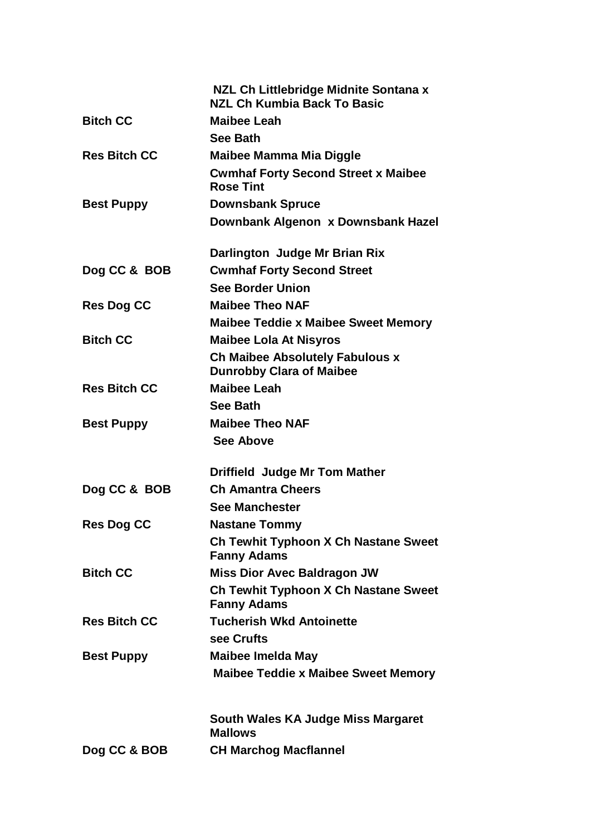|                     | NZL Ch Littlebridge Midnite Sontana x<br><b>NZL Ch Kumbia Back To Basic</b> |
|---------------------|-----------------------------------------------------------------------------|
| <b>Bitch CC</b>     | <b>Maibee Leah</b>                                                          |
|                     | <b>See Bath</b>                                                             |
| <b>Res Bitch CC</b> | Maibee Mamma Mia Diggle                                                     |
|                     | <b>Cwmhaf Forty Second Street x Maibee</b><br><b>Rose Tint</b>              |
| <b>Best Puppy</b>   | <b>Downsbank Spruce</b>                                                     |
|                     | Downbank Algenon x Downsbank Hazel                                          |
|                     | Darlington Judge Mr Brian Rix                                               |
| Dog CC & BOB        | <b>Cwmhaf Forty Second Street</b>                                           |
|                     | <b>See Border Union</b>                                                     |
| <b>Res Dog CC</b>   | <b>Maibee Theo NAF</b>                                                      |
|                     | <b>Maibee Teddie x Maibee Sweet Memory</b>                                  |
| <b>Bitch CC</b>     | <b>Maibee Lola At Nisyros</b>                                               |
|                     | <b>Ch Maibee Absolutely Fabulous x</b><br><b>Dunrobby Clara of Maibee</b>   |
| <b>Res Bitch CC</b> | <b>Maibee Leah</b>                                                          |
|                     | <b>See Bath</b>                                                             |
| <b>Best Puppy</b>   | <b>Maibee Theo NAF</b><br><b>See Above</b>                                  |
|                     | <b>Driffield Judge Mr Tom Mather</b>                                        |
| Dog CC & BOB        | <b>Ch Amantra Cheers</b>                                                    |
|                     | <b>See Manchester</b>                                                       |
| <b>Res Dog CC</b>   | <b>Nastane Tommy</b>                                                        |
|                     | Ch Tewhit Typhoon X Ch Nastane Sweet<br><b>Fanny Adams</b>                  |
| <b>Bitch CC</b>     | <b>Miss Dior Avec Baldragon JW</b>                                          |
|                     | Ch Tewhit Typhoon X Ch Nastane Sweet<br><b>Fanny Adams</b>                  |
| <b>Res Bitch CC</b> | <b>Tucherish Wkd Antoinette</b>                                             |
|                     | see Crufts                                                                  |
| <b>Best Puppy</b>   | <b>Maibee Imelda May</b>                                                    |
|                     | <b>Maibee Teddie x Maibee Sweet Memory</b>                                  |
|                     | South Wales KA Judge Miss Margaret<br><b>Mallows</b>                        |
| Dog CC & BOB        | <b>CH Marchog Macflannel</b>                                                |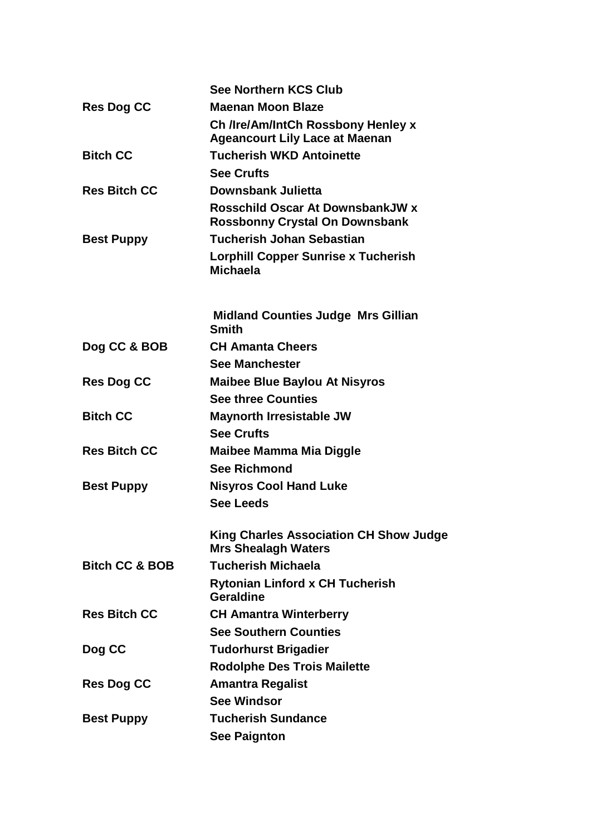|                           | <b>See Northern KCS Club</b>                                                |
|---------------------------|-----------------------------------------------------------------------------|
| <b>Res Dog CC</b>         | <b>Maenan Moon Blaze</b>                                                    |
|                           | Ch /Ire/Am/IntCh Rossbony Henley x                                          |
|                           | <b>Ageancourt Lily Lace at Maenan</b>                                       |
| <b>Bitch CC</b>           | <b>Tucherish WKD Antoinette</b>                                             |
|                           | <b>See Crufts</b>                                                           |
| <b>Res Bitch CC</b>       | Downsbank Julietta                                                          |
|                           | Rosschild Oscar At DownsbankJW x<br><b>Rossbonny Crystal On Downsbank</b>   |
| <b>Best Puppy</b>         | <b>Tucherish Johan Sebastian</b>                                            |
|                           | <b>Lorphill Copper Sunrise x Tucherish</b><br><b>Michaela</b>               |
|                           | <b>Midland Counties Judge Mrs Gillian</b><br><b>Smith</b>                   |
| Dog CC & BOB              | <b>CH Amanta Cheers</b>                                                     |
|                           | <b>See Manchester</b>                                                       |
| <b>Res Dog CC</b>         | <b>Maibee Blue Baylou At Nisyros</b>                                        |
|                           | <b>See three Counties</b>                                                   |
| <b>Bitch CC</b>           | <b>Maynorth Irresistable JW</b>                                             |
|                           | <b>See Crufts</b>                                                           |
| <b>Res Bitch CC</b>       | Maibee Mamma Mia Diggle                                                     |
|                           | <b>See Richmond</b>                                                         |
| <b>Best Puppy</b>         | <b>Nisyros Cool Hand Luke</b>                                               |
|                           | <b>See Leeds</b>                                                            |
|                           | <b>King Charles Association CH Show Judge</b><br><b>Mrs Shealagh Waters</b> |
| <b>Bitch CC &amp; BOB</b> | <b>Tucherish Michaela</b>                                                   |
|                           | <b>Rytonian Linford x CH Tucherish</b><br>Geraldine                         |
| <b>Res Bitch CC</b>       | <b>CH Amantra Winterberry</b>                                               |
|                           | <b>See Southern Counties</b>                                                |
| Dog CC                    | <b>Tudorhurst Brigadier</b>                                                 |
|                           | <b>Rodolphe Des Trois Mailette</b>                                          |
| <b>Res Dog CC</b>         | <b>Amantra Regalist</b>                                                     |
|                           | <b>See Windsor</b>                                                          |
| <b>Best Puppy</b>         | <b>Tucherish Sundance</b>                                                   |
|                           | <b>See Paignton</b>                                                         |